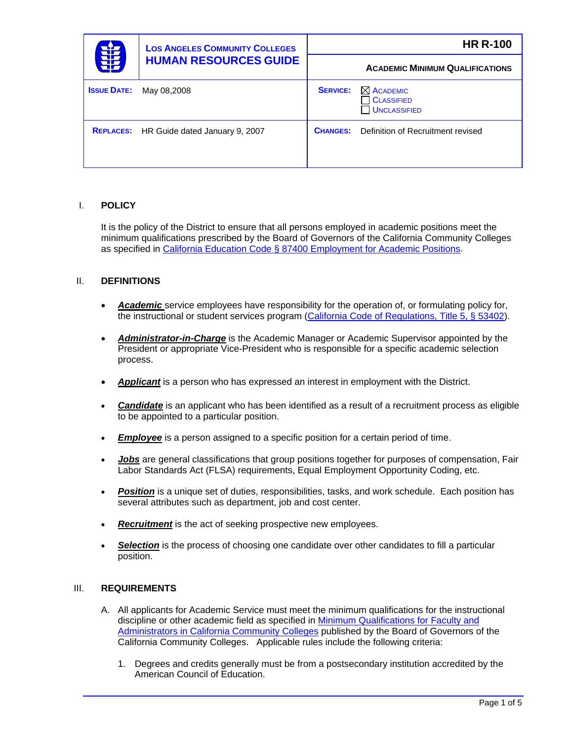| 菲                  | <b>LOS ANGELES COMMUNITY COLLEGES</b><br><b>HUMAN RESOURCES GUIDE</b> | <b>HR R-100</b> |                                                                  |
|--------------------|-----------------------------------------------------------------------|-----------------|------------------------------------------------------------------|
|                    |                                                                       |                 | <b>ACADEMIC MINIMUM QUALIFICATIONS</b>                           |
| <b>ISSUE DATE:</b> | May 08,2008                                                           | <b>SERVICE:</b> | $\boxtimes$ ACADEMIC<br><b>CLASSIFIED</b><br><b>UNCLASSIFIED</b> |
| <b>REPLACES:</b>   | HR Guide dated January 9, 2007                                        | <b>CHANGES:</b> | Definition of Recruitment revised                                |

# I. **POLICY**

It is the policy of the District to ensure that all persons employed in academic positions meet the minimum qualifications prescribed by the Board of Governors of the California Community Colleges as specified in [California Education Code § 87400 Employment for Academic Positions.](http://www.leginfo.ca.gov/calaw.html)

### II. **DEFINITIONS**

- *Academic* service employees have responsibility for the operation of, or formulating policy for, the instructional or student services program ([California Code of Regulations, Title 5, § 53402\)](http://government.westlaw.com/linkedslice/search/default.asp?tempinfo=find&RS=GVT1.0&VR=2.0&SP=CCR-1000).
- *Administrator-in-Charge* is the Academic Manager or Academic Supervisor appointed by the President or appropriate Vice-President who is responsible for a specific academic selection process.
- *Applicant* is a person who has expressed an interest in employment with the District.
- *Candidate* is an applicant who has been identified as a result of a recruitment process as eligible to be appointed to a particular position.
- **Employee** is a person assigned to a specific position for a certain period of time.
- *Jobs* are general classifications that group positions together for purposes of compensation, Fair Labor Standards Act (FLSA) requirements, Equal Employment Opportunity Coding, etc.
- *Position* is a unique set of duties, responsibilities, tasks, and work schedule. Each position has several attributes such as department, job and cost center.
- **Recruitment** is the act of seeking prospective new employees.
- **Selection** is the process of choosing one candidate over other candidates to fill a particular position.

#### III. **REQUIREMENTS**

- A. All applicants for Academic Service must meet the minimum qualifications for the instructional discipline or other academic field as specified in [Minimum Qualifications for Faculty and](http://www.cccco.edu/divisions/esed/aa_ir/psmq/min_qual/min_quals%20_revFeb2206.doc)  [Administrators in California Community Colleges](http://www.cccco.edu/divisions/esed/aa_ir/psmq/min_qual/min_quals%20_revFeb2206.doc) published by the Board of Governors of the California Community Colleges. Applicable rules include the following criteria:
	- 1. Degrees and credits generally must be from a postsecondary institution accredited by the American Council of Education.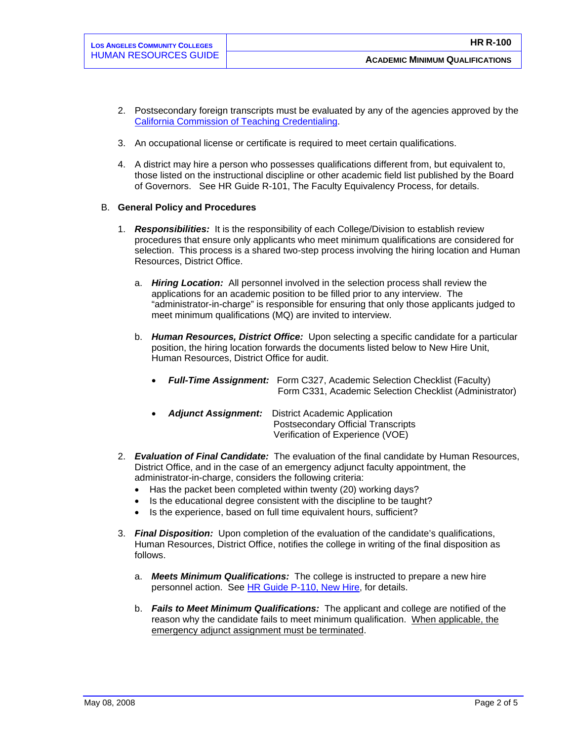- 2. Postsecondary foreign transcripts must be evaluated by any of the agencies approved by the [California Commission of Teaching Credentialing.](http://www.ctc.ca.gov/credentials/leaflets/cl635.pdf)
- 3. An occupational license or certificate is required to meet certain qualifications.
- 4. A district may hire a person who possesses qualifications different from, but equivalent to, those listed on the instructional discipline or other academic field list published by the Board of Governors. See HR Guide R-101, The Faculty Equivalency Process, for details.

### B. **General Policy and Procedures**

- 1. *Responsibilities:* It is the responsibility of each College/Division to establish review procedures that ensure only applicants who meet minimum qualifications are considered for selection. This process is a shared two-step process involving the hiring location and Human Resources, District Office.
	- a. *Hiring Location:* All personnel involved in the selection process shall review the applications for an academic position to be filled prior to any interview. The "administrator-in-charge" is responsible for ensuring that only those applicants judged to meet minimum qualifications (MQ) are invited to interview.
	- b. *Human Resources, District Office:* Upon selecting a specific candidate for a particular position, the hiring location forwards the documents listed below to New Hire Unit, Human Resources, District Office for audit.
		- *Full-Time Assignment:* Form C327, Academic Selection Checklist (Faculty) Form C331, Academic Selection Checklist (Administrator)
		- *Adjunct Assignment:* District Academic Application Postsecondary Official Transcripts Verification of Experience (VOE)
- 2. *Evaluation of Final Candidate:* The evaluation of the final candidate by Human Resources, District Office, and in the case of an emergency adjunct faculty appointment, the administrator-in-charge, considers the following criteria:
	- Has the packet been completed within twenty (20) working days?
	- Is the educational degree consistent with the discipline to be taught?
	- Is the experience, based on full time equivalent hours, sufficient?
- 3. *Final Disposition:* Upon completion of the evaluation of the candidate's qualifications, Human Resources, District Office, notifies the college in writing of the final disposition as follows.
	- a. *Meets Minimum Qualifications:* The college is instructed to prepare a new hire personnel action. See [HR Guide P-110, New Hire](http://www.laccd.edu/faculty_staff/extranet2/documents/HRGuide_P-110_NewHire.pdf), for details.
	- b. *Fails to Meet Minimum Qualifications:* The applicant and college are notified of the reason why the candidate fails to meet minimum qualification. When applicable, the emergency adjunct assignment must be terminated.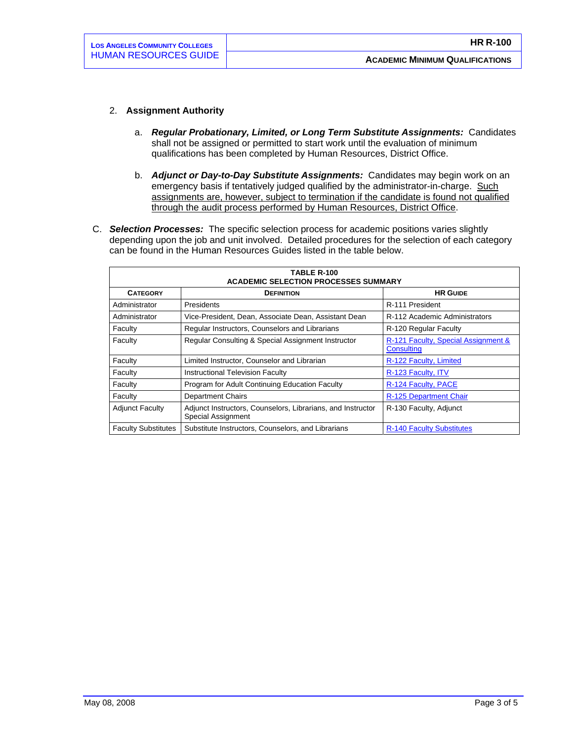- 2. **Assignment Authority** 
	- a. *Regular Probationary, Limited, or Long Term Substitute Assignments:* Candidates shall not be assigned or permitted to start work until the evaluation of minimum qualifications has been completed by Human Resources, District Office.
	- b. *Adjunct or Day-to-Day Substitute Assignments:* Candidates may begin work on an emergency basis if tentatively judged qualified by the administrator-in-charge. Such assignments are, however, subject to termination if the candidate is found not qualified through the audit process performed by Human Resources, District Office.
- C. *Selection Processes:* The specific selection process for academic positions varies slightly depending upon the job and unit involved. Detailed procedures for the selection of each category can be found in the Human Resources Guides listed in the table below.

| TABLE R-100<br><b>ACADEMIC SELECTION PROCESSES SUMMARY</b> |                                                                                   |                                                   |  |
|------------------------------------------------------------|-----------------------------------------------------------------------------------|---------------------------------------------------|--|
| <b>CATEGORY</b>                                            | <b>DEFINITION</b>                                                                 | <b>HR GUIDE</b>                                   |  |
| Administrator                                              | Presidents                                                                        | R-111 President                                   |  |
| Administrator                                              | Vice-President, Dean, Associate Dean, Assistant Dean                              | R-112 Academic Administrators                     |  |
| Faculty                                                    | Regular Instructors, Counselors and Librarians                                    | R-120 Regular Faculty                             |  |
| Faculty                                                    | Regular Consulting & Special Assignment Instructor                                | R-121 Faculty, Special Assignment &<br>Consulting |  |
| Faculty                                                    | Limited Instructor, Counselor and Librarian                                       | R-122 Faculty, Limited                            |  |
| Faculty                                                    | Instructional Television Faculty                                                  | R-123 Faculty, ITV                                |  |
| Faculty                                                    | Program for Adult Continuing Education Faculty                                    | R-124 Faculty, PACE                               |  |
| Faculty                                                    | <b>Department Chairs</b>                                                          | R-125 Department Chair                            |  |
| <b>Adjunct Faculty</b>                                     | Adjunct Instructors, Counselors, Librarians, and Instructor<br>Special Assignment | R-130 Faculty, Adjunct                            |  |
| <b>Faculty Substitutes</b>                                 | Substitute Instructors, Counselors, and Librarians                                | <b>R-140 Faculty Substitutes</b>                  |  |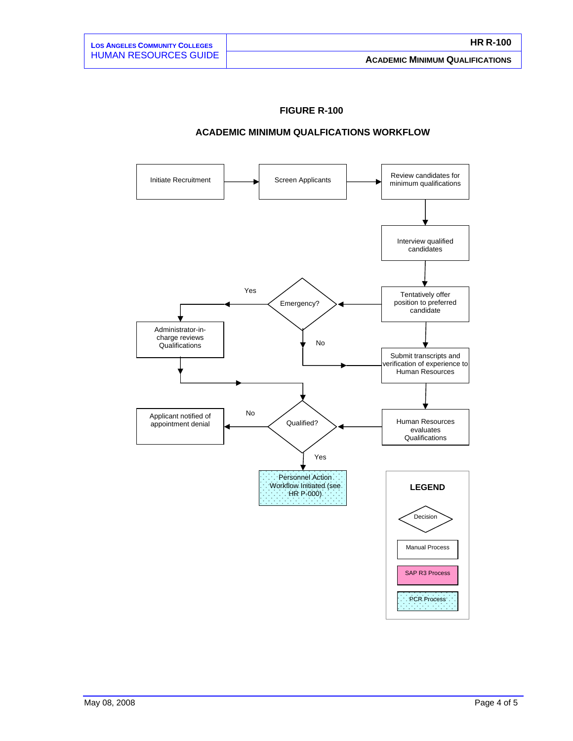**ACADEMIC MINIMUM QUALIFICATIONS** 

# **FIGURE R-100**

# **ACADEMIC MINIMUM QUALFICATIONS WORKFLOW**